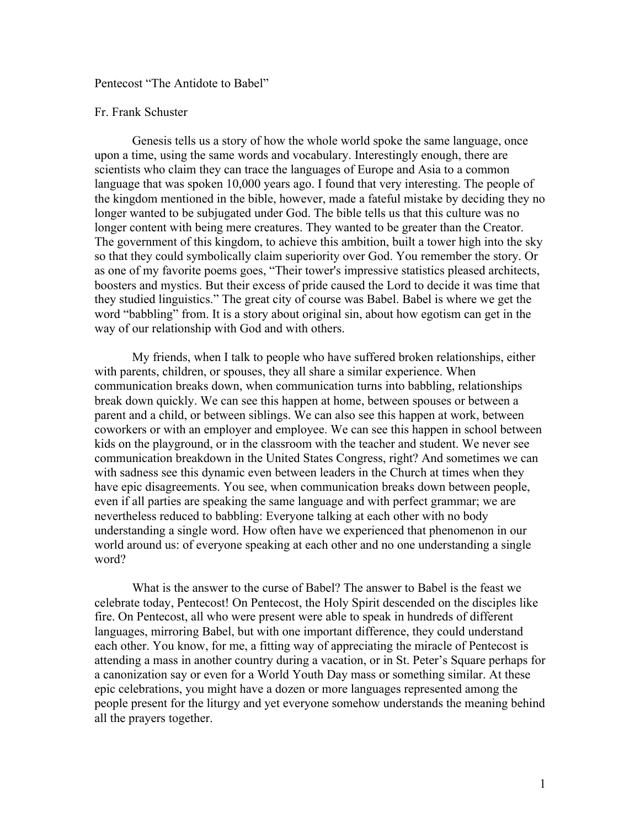## Pentecost "The Antidote to Babel"

## Fr. Frank Schuster

Genesis tells us a story of how the whole world spoke the same language, once upon a time, using the same words and vocabulary. Interestingly enough, there are scientists who claim they can trace the languages of Europe and Asia to a common language that was spoken 10,000 years ago. I found that very interesting. The people of the kingdom mentioned in the bible, however, made a fateful mistake by deciding they no longer wanted to be subjugated under God. The bible tells us that this culture was no longer content with being mere creatures. They wanted to be greater than the Creator. The government of this kingdom, to achieve this ambition, built a tower high into the sky so that they could symbolically claim superiority over God. You remember the story. Or as one of my favorite poems goes, "Their tower's impressive statistics pleased architects, boosters and mystics. But their excess of pride caused the Lord to decide it was time that they studied linguistics." The great city of course was Babel. Babel is where we get the word "babbling" from. It is a story about original sin, about how egotism can get in the way of our relationship with God and with others.

My friends, when I talk to people who have suffered broken relationships, either with parents, children, or spouses, they all share a similar experience. When communication breaks down, when communication turns into babbling, relationships break down quickly. We can see this happen at home, between spouses or between a parent and a child, or between siblings. We can also see this happen at work, between coworkers or with an employer and employee. We can see this happen in school between kids on the playground, or in the classroom with the teacher and student. We never see communication breakdown in the United States Congress, right? And sometimes we can with sadness see this dynamic even between leaders in the Church at times when they have epic disagreements. You see, when communication breaks down between people, even if all parties are speaking the same language and with perfect grammar; we are nevertheless reduced to babbling: Everyone talking at each other with no body understanding a single word. How often have we experienced that phenomenon in our world around us: of everyone speaking at each other and no one understanding a single word?

What is the answer to the curse of Babel? The answer to Babel is the feast we celebrate today, Pentecost! On Pentecost, the Holy Spirit descended on the disciples like fire. On Pentecost, all who were present were able to speak in hundreds of different languages, mirroring Babel, but with one important difference, they could understand each other. You know, for me, a fitting way of appreciating the miracle of Pentecost is attending a mass in another country during a vacation, or in St. Peter's Square perhaps for a canonization say or even for a World Youth Day mass or something similar. At these epic celebrations, you might have a dozen or more languages represented among the people present for the liturgy and yet everyone somehow understands the meaning behind all the prayers together.